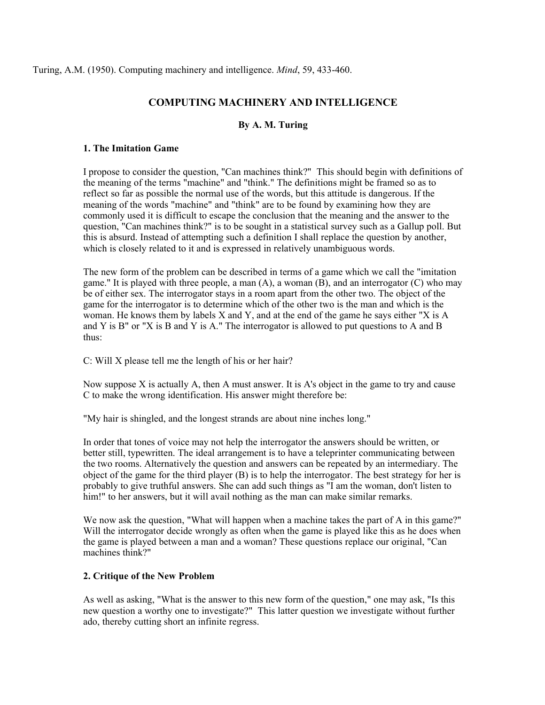# **COMPUTING MACHINERY AND INTELLIGENCE**

# **By A. M. Turing**

#### **1. The Imitation Game**

I propose to consider the question, "Can machines think?" This should begin with definitions of the meaning of the terms "machine" and "think." The definitions might be framed so as to reflect so far as possible the normal use of the words, but this attitude is dangerous. If the meaning of the words "machine" and "think" are to be found by examining how they are commonly used it is difficult to escape the conclusion that the meaning and the answer to the question, "Can machines think?" is to be sought in a statistical survey such as a Gallup poll. But this is absurd. Instead of attempting such a definition I shall replace the question by another, which is closely related to it and is expressed in relatively unambiguous words.

The new form of the problem can be described in terms of a game which we call the "imitation game." It is played with three people, a man (A), a woman (B), and an interrogator (C) who may be of either sex. The interrogator stays in a room apart from the other two. The object of the game for the interrogator is to determine which of the other two is the man and which is the woman. He knows them by labels X and Y, and at the end of the game he says either "X is A and Y is B" or "X is B and Y is A." The interrogator is allowed to put questions to A and B thus:

C: Will X please tell me the length of his or her hair?

Now suppose X is actually A, then A must answer. It is A's object in the game to try and cause C to make the wrong identification. His answer might therefore be:

"My hair is shingled, and the longest strands are about nine inches long."

In order that tones of voice may not help the interrogator the answers should be written, or better still, typewritten. The ideal arrangement is to have a teleprinter communicating between the two rooms. Alternatively the question and answers can be repeated by an intermediary. The object of the game for the third player (B) is to help the interrogator. The best strategy for her is probably to give truthful answers. She can add such things as "I am the woman, don't listen to him!" to her answers, but it will avail nothing as the man can make similar remarks.

We now ask the question, "What will happen when a machine takes the part of A in this game?" Will the interrogator decide wrongly as often when the game is played like this as he does when the game is played between a man and a woman? These questions replace our original, "Can machines think?"

### **2. Critique of the New Problem**

As well as asking, "What is the answer to this new form of the question," one may ask, "Is this new question a worthy one to investigate?" This latter question we investigate without further ado, thereby cutting short an infinite regress.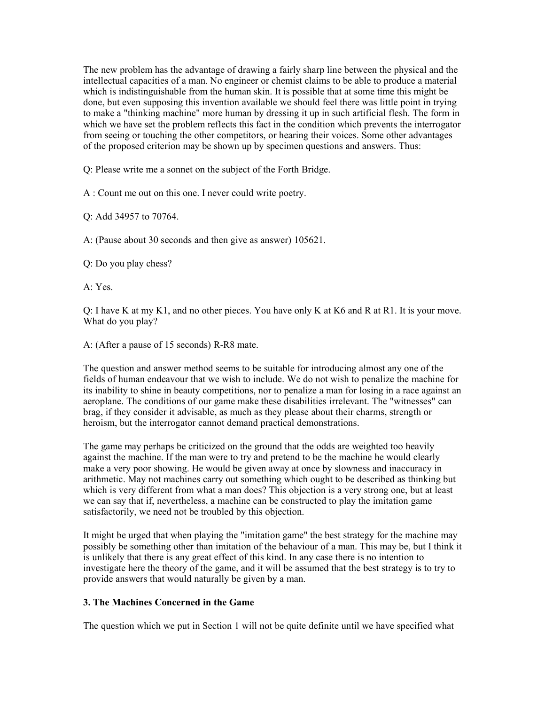The new problem has the advantage of drawing a fairly sharp line between the physical and the intellectual capacities of a man. No engineer or chemist claims to be able to produce a material which is indistinguishable from the human skin. It is possible that at some time this might be done, but even supposing this invention available we should feel there was little point in trying to make a "thinking machine" more human by dressing it up in such artificial flesh. The form in which we have set the problem reflects this fact in the condition which prevents the interrogator from seeing or touching the other competitors, or hearing their voices. Some other advantages of the proposed criterion may be shown up by specimen questions and answers. Thus:

Q: Please write me a sonnet on the subject of the Forth Bridge.

A : Count me out on this one. I never could write poetry.

Q: Add 34957 to 70764.

A: (Pause about 30 seconds and then give as answer) 105621.

Q: Do you play chess?

A: Yes.

Q: I have K at my K1, and no other pieces. You have only K at K6 and R at R1. It is your move. What do you play?

A: (After a pause of 15 seconds) R-R8 mate.

The question and answer method seems to be suitable for introducing almost any one of the fields of human endeavour that we wish to include. We do not wish to penalize the machine for its inability to shine in beauty competitions, nor to penalize a man for losing in a race against an aeroplane. The conditions of our game make these disabilities irrelevant. The "witnesses" can brag, if they consider it advisable, as much as they please about their charms, strength or heroism, but the interrogator cannot demand practical demonstrations.

The game may perhaps be criticized on the ground that the odds are weighted too heavily against the machine. If the man were to try and pretend to be the machine he would clearly make a very poor showing. He would be given away at once by slowness and inaccuracy in arithmetic. May not machines carry out something which ought to be described as thinking but which is very different from what a man does? This objection is a very strong one, but at least we can say that if, nevertheless, a machine can be constructed to play the imitation game satisfactorily, we need not be troubled by this objection.

It might be urged that when playing the "imitation game" the best strategy for the machine may possibly be something other than imitation of the behaviour of a man. This may be, but I think it is unlikely that there is any great effect of this kind. In any case there is no intention to investigate here the theory of the game, and it will be assumed that the best strategy is to try to provide answers that would naturally be given by a man.

### **3. The Machines Concerned in the Game**

The question which we put in Section 1 will not be quite definite until we have specified what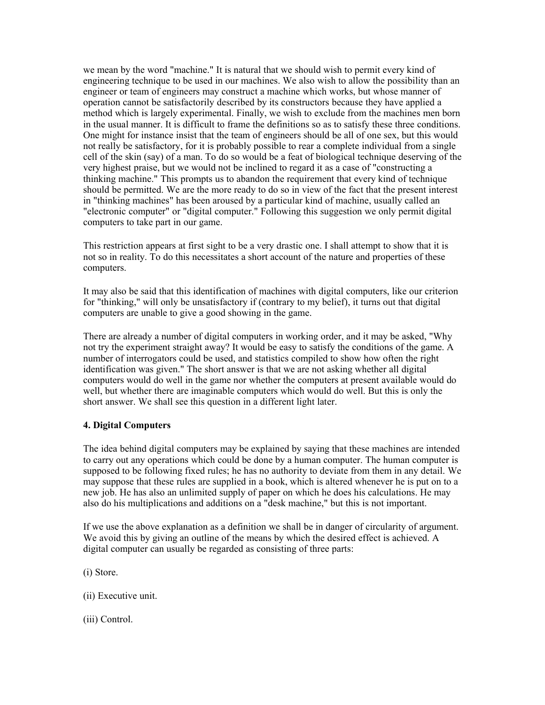we mean by the word "machine." It is natural that we should wish to permit every kind of engineering technique to be used in our machines. We also wish to allow the possibility than an engineer or team of engineers may construct a machine which works, but whose manner of operation cannot be satisfactorily described by its constructors because they have applied a method which is largely experimental. Finally, we wish to exclude from the machines men born in the usual manner. It is difficult to frame the definitions so as to satisfy these three conditions. One might for instance insist that the team of engineers should be all of one sex, but this would not really be satisfactory, for it is probably possible to rear a complete individual from a single cell of the skin (say) of a man. To do so would be a feat of biological technique deserving of the very highest praise, but we would not be inclined to regard it as a case of "constructing a thinking machine." This prompts us to abandon the requirement that every kind of technique should be permitted. We are the more ready to do so in view of the fact that the present interest in "thinking machines" has been aroused by a particular kind of machine, usually called an "electronic computer" or "digital computer." Following this suggestion we only permit digital computers to take part in our game.

This restriction appears at first sight to be a very drastic one. I shall attempt to show that it is not so in reality. To do this necessitates a short account of the nature and properties of these computers.

It may also be said that this identification of machines with digital computers, like our criterion for "thinking," will only be unsatisfactory if (contrary to my belief), it turns out that digital computers are unable to give a good showing in the game.

There are already a number of digital computers in working order, and it may be asked, "Why not try the experiment straight away? It would be easy to satisfy the conditions of the game. A number of interrogators could be used, and statistics compiled to show how often the right identification was given." The short answer is that we are not asking whether all digital computers would do well in the game nor whether the computers at present available would do well, but whether there are imaginable computers which would do well. But this is only the short answer. We shall see this question in a different light later.

### **4. Digital Computers**

The idea behind digital computers may be explained by saying that these machines are intended to carry out any operations which could be done by a human computer. The human computer is supposed to be following fixed rules; he has no authority to deviate from them in any detail. We may suppose that these rules are supplied in a book, which is altered whenever he is put on to a new job. He has also an unlimited supply of paper on which he does his calculations. He may also do his multiplications and additions on a "desk machine," but this is not important.

If we use the above explanation as a definition we shall be in danger of circularity of argument. We avoid this by giving an outline of the means by which the desired effect is achieved. A digital computer can usually be regarded as consisting of three parts:

(i) Store.

(ii) Executive unit.

(iii) Control.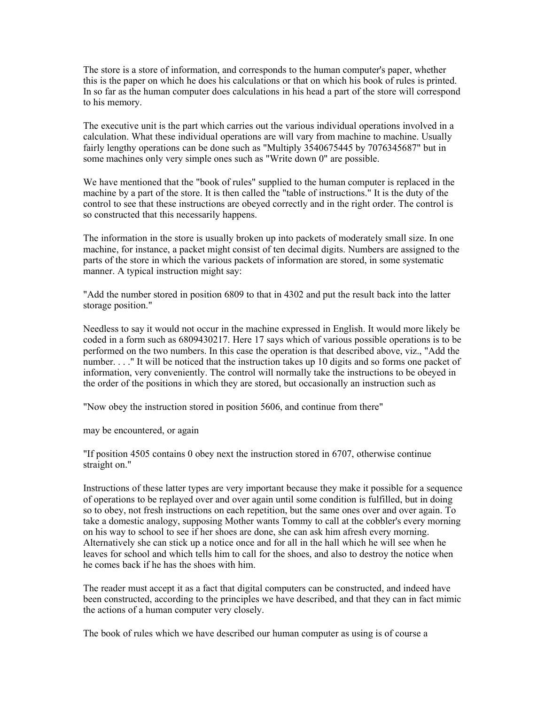The store is a store of information, and corresponds to the human computer's paper, whether this is the paper on which he does his calculations or that on which his book of rules is printed. In so far as the human computer does calculations in his head a part of the store will correspond to his memory.

The executive unit is the part which carries out the various individual operations involved in a calculation. What these individual operations are will vary from machine to machine. Usually fairly lengthy operations can be done such as "Multiply 3540675445 by 7076345687" but in some machines only very simple ones such as "Write down 0" are possible.

We have mentioned that the "book of rules" supplied to the human computer is replaced in the machine by a part of the store. It is then called the "table of instructions." It is the duty of the control to see that these instructions are obeyed correctly and in the right order. The control is so constructed that this necessarily happens.

The information in the store is usually broken up into packets of moderately small size. In one machine, for instance, a packet might consist of ten decimal digits. Numbers are assigned to the parts of the store in which the various packets of information are stored, in some systematic manner. A typical instruction might say:

"Add the number stored in position 6809 to that in 4302 and put the result back into the latter storage position."

Needless to say it would not occur in the machine expressed in English. It would more likely be coded in a form such as 6809430217. Here 17 says which of various possible operations is to be performed on the two numbers. In this case the operation is that described above, viz., "Add the number. . . . "It will be noticed that the instruction takes up 10 digits and so forms one packet of information, very conveniently. The control will normally take the instructions to be obeyed in the order of the positions in which they are stored, but occasionally an instruction such as

"Now obey the instruction stored in position 5606, and continue from there"

may be encountered, or again

"If position 4505 contains 0 obey next the instruction stored in 6707, otherwise continue straight on."

Instructions of these latter types are very important because they make it possible for a sequence of operations to be replayed over and over again until some condition is fulfilled, but in doing so to obey, not fresh instructions on each repetition, but the same ones over and over again. To take a domestic analogy, supposing Mother wants Tommy to call at the cobbler's every morning on his way to school to see if her shoes are done, she can ask him afresh every morning. Alternatively she can stick up a notice once and for all in the hall which he will see when he leaves for school and which tells him to call for the shoes, and also to destroy the notice when he comes back if he has the shoes with him.

The reader must accept it as a fact that digital computers can be constructed, and indeed have been constructed, according to the principles we have described, and that they can in fact mimic the actions of a human computer very closely.

The book of rules which we have described our human computer as using is of course a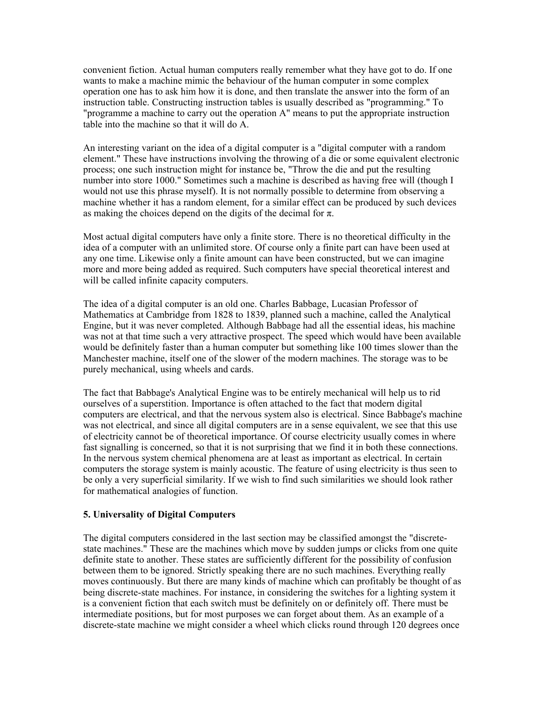convenient fiction. Actual human computers really remember what they have got to do. If one wants to make a machine mimic the behaviour of the human computer in some complex operation one has to ask him how it is done, and then translate the answer into the form of an instruction table. Constructing instruction tables is usually described as "programming." To "programme a machine to carry out the operation A" means to put the appropriate instruction table into the machine so that it will do A.

An interesting variant on the idea of a digital computer is a "digital computer with a random element." These have instructions involving the throwing of a die or some equivalent electronic process; one such instruction might for instance be, "Throw the die and put the resulting number into store 1000." Sometimes such a machine is described as having free will (though I would not use this phrase myself). It is not normally possible to determine from observing a machine whether it has a random element, for a similar effect can be produced by such devices as making the choices depend on the digits of the decimal for  $\pi$ .

Most actual digital computers have only a finite store. There is no theoretical difficulty in the idea of a computer with an unlimited store. Of course only a finite part can have been used at any one time. Likewise only a finite amount can have been constructed, but we can imagine more and more being added as required. Such computers have special theoretical interest and will be called infinite capacity computers.

The idea of a digital computer is an old one. Charles Babbage, Lucasian Professor of Mathematics at Cambridge from 1828 to 1839, planned such a machine, called the Analytical Engine, but it was never completed. Although Babbage had all the essential ideas, his machine was not at that time such a very attractive prospect. The speed which would have been available would be definitely faster than a human computer but something like 100 times slower than the Manchester machine, itself one of the slower of the modern machines. The storage was to be purely mechanical, using wheels and cards.

The fact that Babbage's Analytical Engine was to be entirely mechanical will help us to rid ourselves of a superstition. Importance is often attached to the fact that modern digital computers are electrical, and that the nervous system also is electrical. Since Babbage's machine was not electrical, and since all digital computers are in a sense equivalent, we see that this use of electricity cannot be of theoretical importance. Of course electricity usually comes in where fast signalling is concerned, so that it is not surprising that we find it in both these connections. In the nervous system chemical phenomena are at least as important as electrical. In certain computers the storage system is mainly acoustic. The feature of using electricity is thus seen to be only a very superficial similarity. If we wish to find such similarities we should look rather for mathematical analogies of function.

### **5. Universality of Digital Computers**

The digital computers considered in the last section may be classified amongst the "discretestate machines." These are the machines which move by sudden jumps or clicks from one quite definite state to another. These states are sufficiently different for the possibility of confusion between them to be ignored. Strictly speaking there are no such machines. Everything really moves continuously. But there are many kinds of machine which can profitably be thought of as being discrete-state machines. For instance, in considering the switches for a lighting system it is a convenient fiction that each switch must be definitely on or definitely off. There must be intermediate positions, but for most purposes we can forget about them. As an example of a discrete-state machine we might consider a wheel which clicks round through 120 degrees once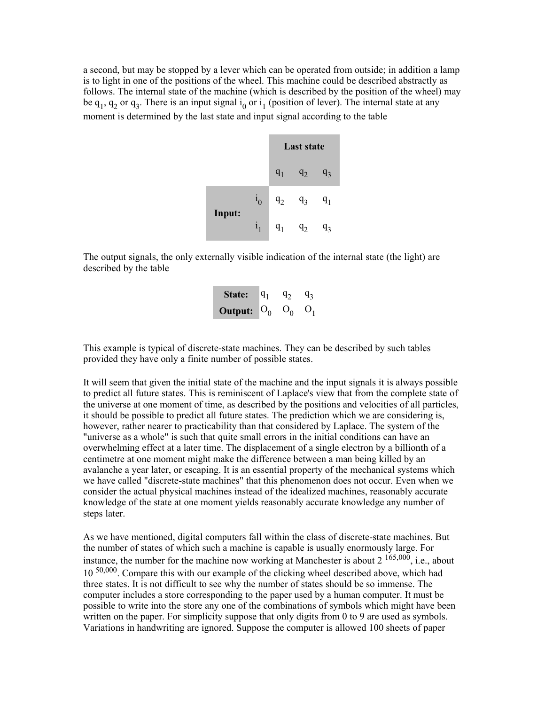a second, but may be stopped by a lever which can be operated from outside; in addition a lamp is to light in one of the positions of the wheel. This machine could be described abstractly as follows. The internal state of the machine (which is described by the position of the wheel) may be  $q_1$ ,  $q_2$  or  $q_3$ . There is an input signal  $i_0$  or  $i_1$  (position of lever). The internal state at any moment is determined by the last state and input signal according to the table

|        |                | <b>Last state</b> |       |       |
|--------|----------------|-------------------|-------|-------|
|        |                | $q_1$             | $q_2$ | $q_3$ |
| Input: | $i_0$          | $q_2$             | $q_3$ | $q_1$ |
|        | i <sub>1</sub> | $q_1$             | $q_2$ | $q_3$ |

The output signals, the only externally visible indication of the internal state (the light) are described by the table

| State:                           | $q_1$ | $q_2$ $q_3$ |  |
|----------------------------------|-------|-------------|--|
| <b>Output:</b> $O_0$ $O_0$ $O_1$ |       |             |  |

This example is typical of discrete-state machines. They can be described by such tables provided they have only a finite number of possible states.

It will seem that given the initial state of the machine and the input signals it is always possible to predict all future states. This is reminiscent of Laplace's view that from the complete state of the universe at one moment of time, as described by the positions and velocities of all particles, it should be possible to predict all future states. The prediction which we are considering is, however, rather nearer to practicability than that considered by Laplace. The system of the "universe as a whole" is such that quite small errors in the initial conditions can have an overwhelming effect at a later time. The displacement of a single electron by a billionth of a centimetre at one moment might make the difference between a man being killed by an avalanche a year later, or escaping. It is an essential property of the mechanical systems which we have called "discrete-state machines" that this phenomenon does not occur. Even when we consider the actual physical machines instead of the idealized machines, reasonably accurate knowledge of the state at one moment yields reasonably accurate knowledge any number of steps later.

As we have mentioned, digital computers fall within the class of discrete-state machines. But the number of states of which such a machine is capable is usually enormously large. For instance, the number for the machine now working at Manchester is about  $2^{165,000}$ , i.e., about 10<sup>50,000</sup>. Compare this with our example of the clicking wheel described above, which had three states. It is not difficult to see why the number of states should be so immense. The computer includes a store corresponding to the paper used by a human computer. It must be possible to write into the store any one of the combinations of symbols which might have been written on the paper. For simplicity suppose that only digits from 0 to 9 are used as symbols. Variations in handwriting are ignored. Suppose the computer is allowed 100 sheets of paper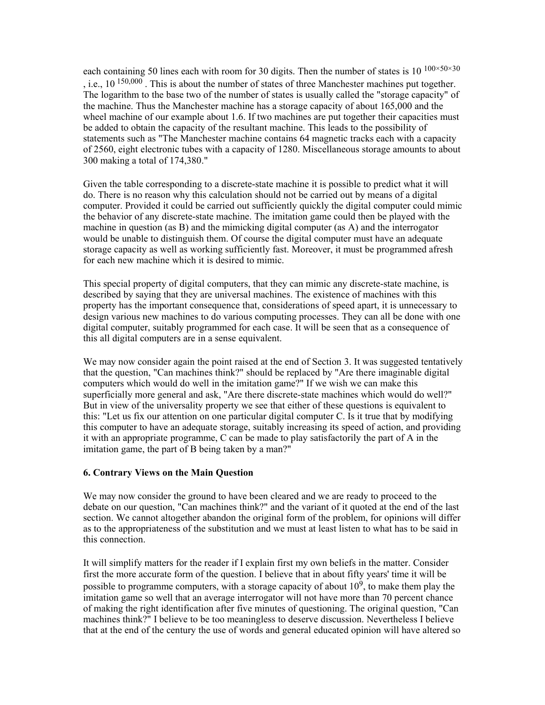each containing 50 lines each with room for 30 digits. Then the number of states is  $10^{100\times50\times30}$ , i.e., 10<sup>150,000</sup>. This is about the number of states of three Manchester machines put together. The logarithm to the base two of the number of states is usually called the "storage capacity" of the machine. Thus the Manchester machine has a storage capacity of about 165,000 and the wheel machine of our example about 1.6. If two machines are put together their capacities must be added to obtain the capacity of the resultant machine. This leads to the possibility of statements such as "The Manchester machine contains 64 magnetic tracks each with a capacity of 2560, eight electronic tubes with a capacity of 1280. Miscellaneous storage amounts to about 300 making a total of 174,380."

Given the table corresponding to a discrete-state machine it is possible to predict what it will do. There is no reason why this calculation should not be carried out by means of a digital computer. Provided it could be carried out sufficiently quickly the digital computer could mimic the behavior of any discrete-state machine. The imitation game could then be played with the machine in question (as B) and the mimicking digital computer (as A) and the interrogator would be unable to distinguish them. Of course the digital computer must have an adequate storage capacity as well as working sufficiently fast. Moreover, it must be programmed afresh for each new machine which it is desired to mimic.

This special property of digital computers, that they can mimic any discrete-state machine, is described by saying that they are universal machines. The existence of machines with this property has the important consequence that, considerations of speed apart, it is unnecessary to design various new machines to do various computing processes. They can all be done with one digital computer, suitably programmed for each case. It will be seen that as a consequence of this all digital computers are in a sense equivalent.

We may now consider again the point raised at the end of Section 3. It was suggested tentatively that the question, "Can machines think?" should be replaced by "Are there imaginable digital computers which would do well in the imitation game?" If we wish we can make this superficially more general and ask, "Are there discrete-state machines which would do well?" But in view of the universality property we see that either of these questions is equivalent to this: "Let us fix our attention on one particular digital computer C. Is it true that by modifying this computer to have an adequate storage, suitably increasing its speed of action, and providing it with an appropriate programme, C can be made to play satisfactorily the part of A in the imitation game, the part of B being taken by a man?"

### **6. Contrary Views on the Main Question**

We may now consider the ground to have been cleared and we are ready to proceed to the debate on our question, "Can machines think?" and the variant of it quoted at the end of the last section. We cannot altogether abandon the original form of the problem, for opinions will differ as to the appropriateness of the substitution and we must at least listen to what has to be said in this connection.

It will simplify matters for the reader if I explain first my own beliefs in the matter. Consider first the more accurate form of the question. I believe that in about fifty years' time it will be possible to programme computers, with a storage capacity of about  $10^9$ , to make them play the imitation game so well that an average interrogator will not have more than 70 percent chance of making the right identification after five minutes of questioning. The original question, "Can machines think?" I believe to be too meaningless to deserve discussion. Nevertheless I believe that at the end of the century the use of words and general educated opinion will have altered so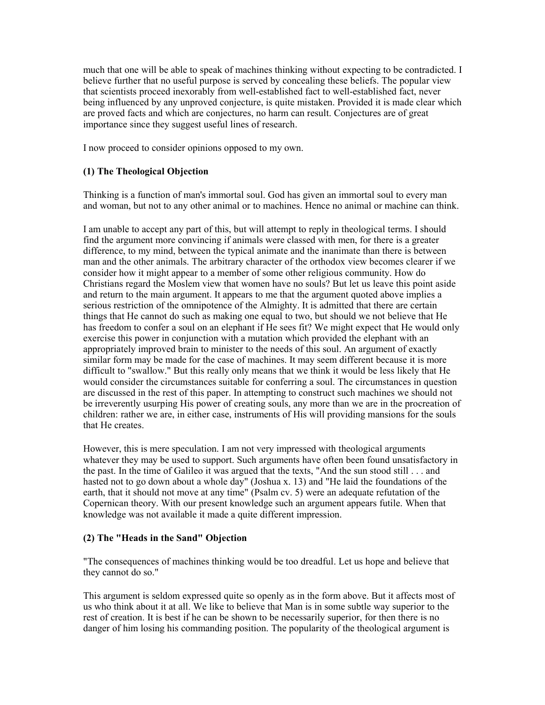much that one will be able to speak of machines thinking without expecting to be contradicted. I believe further that no useful purpose is served by concealing these beliefs. The popular view that scientists proceed inexorably from well-established fact to well-established fact, never being influenced by any unproved conjecture, is quite mistaken. Provided it is made clear which are proved facts and which are conjectures, no harm can result. Conjectures are of great importance since they suggest useful lines of research.

I now proceed to consider opinions opposed to my own.

# **(1) The Theological Objection**

Thinking is a function of man's immortal soul. God has given an immortal soul to every man and woman, but not to any other animal or to machines. Hence no animal or machine can think.

I am unable to accept any part of this, but will attempt to reply in theological terms. I should find the argument more convincing if animals were classed with men, for there is a greater difference, to my mind, between the typical animate and the inanimate than there is between man and the other animals. The arbitrary character of the orthodox view becomes clearer if we consider how it might appear to a member of some other religious community. How do Christians regard the Moslem view that women have no souls? But let us leave this point aside and return to the main argument. It appears to me that the argument quoted above implies a serious restriction of the omnipotence of the Almighty. It is admitted that there are certain things that He cannot do such as making one equal to two, but should we not believe that He has freedom to confer a soul on an elephant if He sees fit? We might expect that He would only exercise this power in conjunction with a mutation which provided the elephant with an appropriately improved brain to minister to the needs of this soul. An argument of exactly similar form may be made for the case of machines. It may seem different because it is more difficult to "swallow." But this really only means that we think it would be less likely that He would consider the circumstances suitable for conferring a soul. The circumstances in question are discussed in the rest of this paper. In attempting to construct such machines we should not be irreverently usurping His power of creating souls, any more than we are in the procreation of children: rather we are, in either case, instruments of His will providing mansions for the souls that He creates.

However, this is mere speculation. I am not very impressed with theological arguments whatever they may be used to support. Such arguments have often been found unsatisfactory in the past. In the time of Galileo it was argued that the texts, "And the sun stood still . . . and hasted not to go down about a whole day" (Joshua x. 13) and "He laid the foundations of the earth, that it should not move at any time" (Psalm cv. 5) were an adequate refutation of the Copernican theory. With our present knowledge such an argument appears futile. When that knowledge was not available it made a quite different impression.

### **(2) The "Heads in the Sand" Objection**

"The consequences of machines thinking would be too dreadful. Let us hope and believe that they cannot do so."

This argument is seldom expressed quite so openly as in the form above. But it affects most of us who think about it at all. We like to believe that Man is in some subtle way superior to the rest of creation. It is best if he can be shown to be necessarily superior, for then there is no danger of him losing his commanding position. The popularity of the theological argument is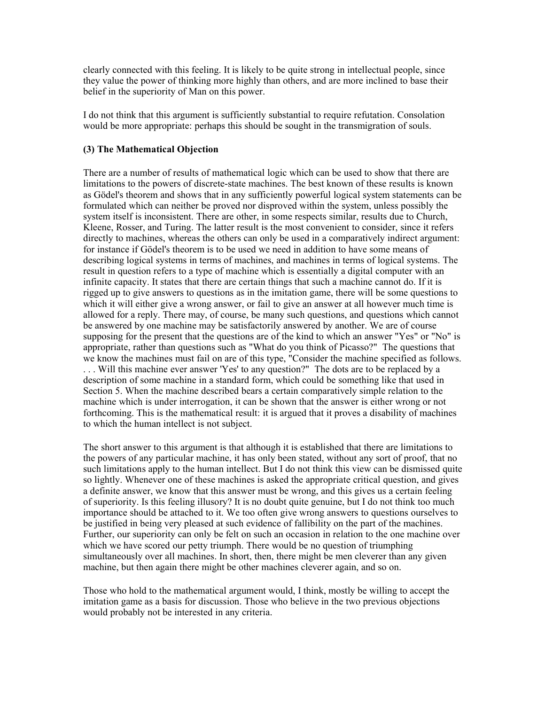clearly connected with this feeling. It is likely to be quite strong in intellectual people, since they value the power of thinking more highly than others, and are more inclined to base their belief in the superiority of Man on this power.

I do not think that this argument is sufficiently substantial to require refutation. Consolation would be more appropriate: perhaps this should be sought in the transmigration of souls.

### **(3) The Mathematical Objection**

There are a number of results of mathematical logic which can be used to show that there are limitations to the powers of discrete-state machines. The best known of these results is known as Gödel's theorem and shows that in any sufficiently powerful logical system statements can be formulated which can neither be proved nor disproved within the system, unless possibly the system itself is inconsistent. There are other, in some respects similar, results due to Church, Kleene, Rosser, and Turing. The latter result is the most convenient to consider, since it refers directly to machines, whereas the others can only be used in a comparatively indirect argument: for instance if Gödel's theorem is to be used we need in addition to have some means of describing logical systems in terms of machines, and machines in terms of logical systems. The result in question refers to a type of machine which is essentially a digital computer with an infinite capacity. It states that there are certain things that such a machine cannot do. If it is rigged up to give answers to questions as in the imitation game, there will be some questions to which it will either give a wrong answer, or fail to give an answer at all however much time is allowed for a reply. There may, of course, be many such questions, and questions which cannot be answered by one machine may be satisfactorily answered by another. We are of course supposing for the present that the questions are of the kind to which an answer "Yes" or "No" is appropriate, rather than questions such as "What do you think of Picasso?" The questions that we know the machines must fail on are of this type, "Consider the machine specified as follows. . . . Will this machine ever answer 'Yes' to any question?" The dots are to be replaced by a description of some machine in a standard form, which could be something like that used in Section 5. When the machine described bears a certain comparatively simple relation to the machine which is under interrogation, it can be shown that the answer is either wrong or not forthcoming. This is the mathematical result: it is argued that it proves a disability of machines to which the human intellect is not subject.

The short answer to this argument is that although it is established that there are limitations to the powers of any particular machine, it has only been stated, without any sort of proof, that no such limitations apply to the human intellect. But I do not think this view can be dismissed quite so lightly. Whenever one of these machines is asked the appropriate critical question, and gives a definite answer, we know that this answer must be wrong, and this gives us a certain feeling of superiority. Is this feeling illusory? It is no doubt quite genuine, but I do not think too much importance should be attached to it. We too often give wrong answers to questions ourselves to be justified in being very pleased at such evidence of fallibility on the part of the machines. Further, our superiority can only be felt on such an occasion in relation to the one machine over which we have scored our petty triumph. There would be no question of triumphing simultaneously over all machines. In short, then, there might be men cleverer than any given machine, but then again there might be other machines cleverer again, and so on.

Those who hold to the mathematical argument would, I think, mostly be willing to accept the imitation game as a basis for discussion. Those who believe in the two previous objections would probably not be interested in any criteria.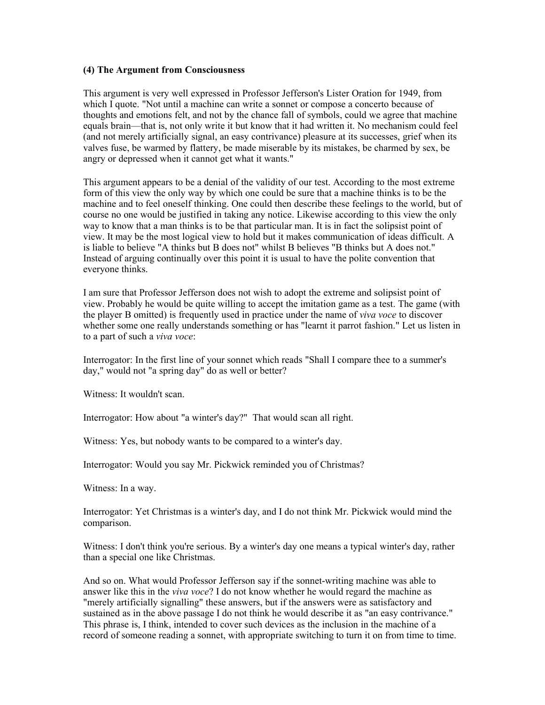#### **(4) The Argument from Consciousness**

This argument is very well expressed in Professor Jefferson's Lister Oration for 1949, from which I quote. "Not until a machine can write a sonnet or compose a concerto because of thoughts and emotions felt, and not by the chance fall of symbols, could we agree that machine equals brain—that is, not only write it but know that it had written it. No mechanism could feel (and not merely artificially signal, an easy contrivance) pleasure at its successes, grief when its valves fuse, be warmed by flattery, be made miserable by its mistakes, be charmed by sex, be angry or depressed when it cannot get what it wants."

This argument appears to be a denial of the validity of our test. According to the most extreme form of this view the only way by which one could be sure that a machine thinks is to be the machine and to feel oneself thinking. One could then describe these feelings to the world, but of course no one would be justified in taking any notice. Likewise according to this view the only way to know that a man thinks is to be that particular man. It is in fact the solipsist point of view. It may be the most logical view to hold but it makes communication of ideas difficult. A is liable to believe "A thinks but B does not" whilst B believes "B thinks but A does not." Instead of arguing continually over this point it is usual to have the polite convention that everyone thinks.

I am sure that Professor Jefferson does not wish to adopt the extreme and solipsist point of view. Probably he would be quite willing to accept the imitation game as a test. The game (with the player B omitted) is frequently used in practice under the name of *viva voce* to discover whether some one really understands something or has "learnt it parrot fashion." Let us listen in to a part of such a *viva voce*:

Interrogator: In the first line of your sonnet which reads "Shall I compare thee to a summer's day," would not "a spring day" do as well or better?

Witness: It wouldn't scan.

Interrogator: How about "a winter's day?" That would scan all right.

Witness: Yes, but nobody wants to be compared to a winter's day.

Interrogator: Would you say Mr. Pickwick reminded you of Christmas?

Witness: In a way.

Interrogator: Yet Christmas is a winter's day, and I do not think Mr. Pickwick would mind the comparison.

Witness: I don't think you're serious. By a winter's day one means a typical winter's day, rather than a special one like Christmas.

And so on. What would Professor Jefferson say if the sonnet-writing machine was able to answer like this in the *viva voce*? I do not know whether he would regard the machine as "merely artificially signalling" these answers, but if the answers were as satisfactory and sustained as in the above passage I do not think he would describe it as "an easy contrivance." This phrase is, I think, intended to cover such devices as the inclusion in the machine of a record of someone reading a sonnet, with appropriate switching to turn it on from time to time.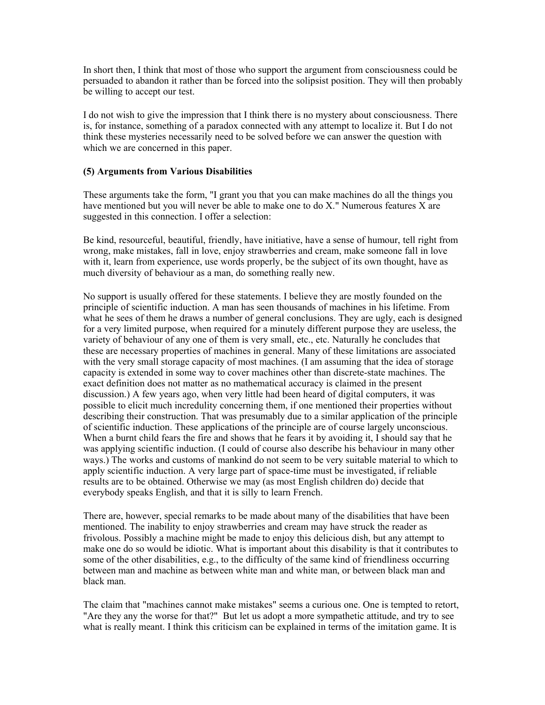In short then, I think that most of those who support the argument from consciousness could be persuaded to abandon it rather than be forced into the solipsist position. They will then probably be willing to accept our test.

I do not wish to give the impression that I think there is no mystery about consciousness. There is, for instance, something of a paradox connected with any attempt to localize it. But I do not think these mysteries necessarily need to be solved before we can answer the question with which we are concerned in this paper.

### **(5) Arguments from Various Disabilities**

These arguments take the form, "I grant you that you can make machines do all the things you have mentioned but you will never be able to make one to do X." Numerous features X are suggested in this connection. I offer a selection:

Be kind, resourceful, beautiful, friendly, have initiative, have a sense of humour, tell right from wrong, make mistakes, fall in love, enjoy strawberries and cream, make someone fall in love with it, learn from experience, use words properly, be the subject of its own thought, have as much diversity of behaviour as a man, do something really new.

No support is usually offered for these statements. I believe they are mostly founded on the principle of scientific induction. A man has seen thousands of machines in his lifetime. From what he sees of them he draws a number of general conclusions. They are ugly, each is designed for a very limited purpose, when required for a minutely different purpose they are useless, the variety of behaviour of any one of them is very small, etc., etc. Naturally he concludes that these are necessary properties of machines in general. Many of these limitations are associated with the very small storage capacity of most machines. (I am assuming that the idea of storage capacity is extended in some way to cover machines other than discrete-state machines. The exact definition does not matter as no mathematical accuracy is claimed in the present discussion.) A few years ago, when very little had been heard of digital computers, it was possible to elicit much incredulity concerning them, if one mentioned their properties without describing their construction. That was presumably due to a similar application of the principle of scientific induction. These applications of the principle are of course largely unconscious. When a burnt child fears the fire and shows that he fears it by avoiding it, I should say that he was applying scientific induction. (I could of course also describe his behaviour in many other ways.) The works and customs of mankind do not seem to be very suitable material to which to apply scientific induction. A very large part of space-time must be investigated, if reliable results are to be obtained. Otherwise we may (as most English children do) decide that everybody speaks English, and that it is silly to learn French.

There are, however, special remarks to be made about many of the disabilities that have been mentioned. The inability to enjoy strawberries and cream may have struck the reader as frivolous. Possibly a machine might be made to enjoy this delicious dish, but any attempt to make one do so would be idiotic. What is important about this disability is that it contributes to some of the other disabilities, e.g., to the difficulty of the same kind of friendliness occurring between man and machine as between white man and white man, or between black man and black man.

The claim that "machines cannot make mistakes" seems a curious one. One is tempted to retort, "Are they any the worse for that?" But let us adopt a more sympathetic attitude, and try to see what is really meant. I think this criticism can be explained in terms of the imitation game. It is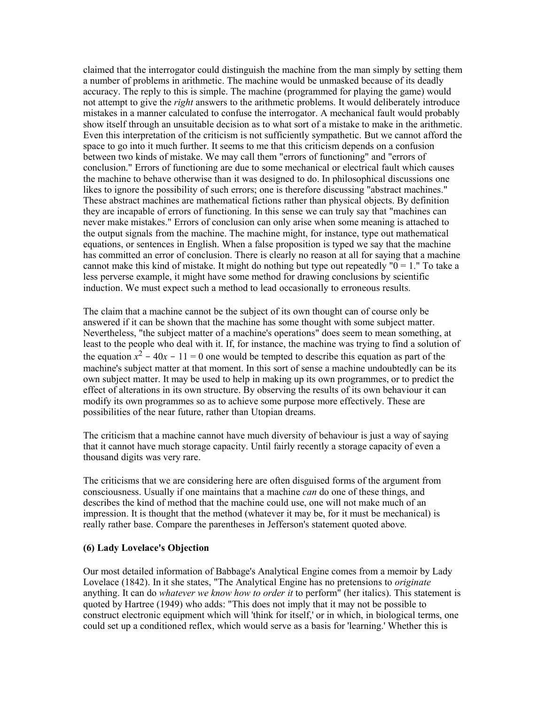claimed that the interrogator could distinguish the machine from the man simply by setting them a number of problems in arithmetic. The machine would be unmasked because of its deadly accuracy. The reply to this is simple. The machine (programmed for playing the game) would not attempt to give the *right* answers to the arithmetic problems. It would deliberately introduce mistakes in a manner calculated to confuse the interrogator. A mechanical fault would probably show itself through an unsuitable decision as to what sort of a mistake to make in the arithmetic. Even this interpretation of the criticism is not sufficiently sympathetic. But we cannot afford the space to go into it much further. It seems to me that this criticism depends on a confusion between two kinds of mistake. We may call them "errors of functioning" and "errors of conclusion." Errors of functioning are due to some mechanical or electrical fault which causes the machine to behave otherwise than it was designed to do. In philosophical discussions one likes to ignore the possibility of such errors; one is therefore discussing "abstract machines." These abstract machines are mathematical fictions rather than physical objects. By definition they are incapable of errors of functioning. In this sense we can truly say that "machines can never make mistakes." Errors of conclusion can only arise when some meaning is attached to the output signals from the machine. The machine might, for instance, type out mathematical equations, or sentences in English. When a false proposition is typed we say that the machine has committed an error of conclusion. There is clearly no reason at all for saying that a machine cannot make this kind of mistake. It might do nothing but type out repeatedly " $0 = 1$ ." To take a less perverse example, it might have some method for drawing conclusions by scientific induction. We must expect such a method to lead occasionally to erroneous results.

The claim that a machine cannot be the subject of its own thought can of course only be answered if it can be shown that the machine has some thought with some subject matter. Nevertheless, "the subject matter of a machine's operations" does seem to mean something, at least to the people who deal with it. If, for instance, the machine was trying to find a solution of the equation  $x^2 - 40x - 11 = 0$  one would be tempted to describe this equation as part of the machine's subject matter at that moment. In this sort of sense a machine undoubtedly can be its own subject matter. It may be used to help in making up its own programmes, or to predict the effect of alterations in its own structure. By observing the results of its own behaviour it can modify its own programmes so as to achieve some purpose more effectively. These are possibilities of the near future, rather than Utopian dreams.

The criticism that a machine cannot have much diversity of behaviour is just a way of saying that it cannot have much storage capacity. Until fairly recently a storage capacity of even a thousand digits was very rare.

The criticisms that we are considering here are often disguised forms of the argument from consciousness. Usually if one maintains that a machine *can* do one of these things, and describes the kind of method that the machine could use, one will not make much of an impression. It is thought that the method (whatever it may be, for it must be mechanical) is really rather base. Compare the parentheses in Jefferson's statement quoted above.

#### **(6) Lady Lovelace's Objection**

Our most detailed information of Babbage's Analytical Engine comes from a memoir by Lady Lovelace (1842). In it she states, "The Analytical Engine has no pretensions to *originate* anything. It can do *whatever we know how to order it* to perform" (her italics). This statement is quoted by Hartree (1949) who adds: "This does not imply that it may not be possible to construct electronic equipment which will 'think for itself,' or in which, in biological terms, one could set up a conditioned reflex, which would serve as a basis for 'learning.' Whether this is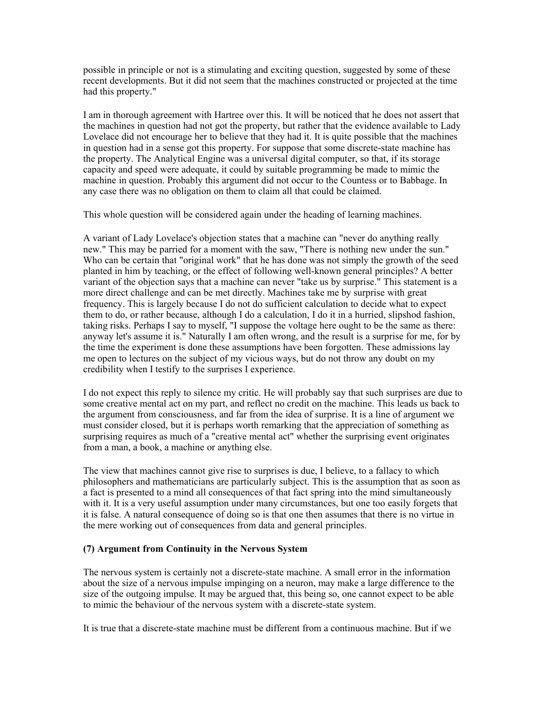possible in principle or not is a stimulating and exciting question, suggested by some of these recent developments. But it did not seem that the machines constructed or projected at the time had this property."

I am in thorough agreement with Hartree over this. It will be noticed that he does not assert that the machines in question had not got the property, but rather that the evidence available to Lady Lovelace did not encourage her to believe that they had it. It is quite possible that the machines in question had in a sense got this property. For suppose that some discrete-state machine has the property. The Analytical Engine was a universal digital computer, so that, if its storage capacity and speed were adequate, it could by suitable programming be made to mimic the machine in question. Probably this argument did not occur to the Countess or to Babbage. In any case there was no obligation on them to claim all that could be claimed.

This whole question will be considered again under the heading of learning machines.

A variant of Lady Lovelace's objection states that a machine can "never do anything really new." This may be parried for a moment with the saw, "There is nothing new under the sun." Who can be certain that "original work" that he has done was not simply the growth of the seed planted in him by teaching, or the effect of following well-known general principles? A better variant of the objection says that a machine can never "take us by surprise." This statement is a more direct challenge and can be met directly. Machines take me by surprise with great frequency. This is largely because I do not do sufficient calculation to decide what to expect them to do, or rather because, although I do a calculation, I do it in a hurried, slipshod fashion, taking risks. Perhaps I say to myself, "I suppose the voltage here ought to be the same as there: anyway let's assume it is." Naturally I am often wrong, and the result is a surprise for me, for by the time the experiment is done these assumptions have been forgotten. These admissions lay me open to lectures on the subject of my vicious ways, but do not throw any doubt on my credibility when I testify to the surprises I experience.

I do not expect this reply to silence my critic. He will probably say that such surprises are due to some creative mental act on my part, and reflect no credit on the machine. This leads us back to the argument from consciousness, and far from the idea of surprise. It is a line of argument we must consider closed, but it is perhaps worth remarking that the appreciation of something as surprising requires as much of a "creative mental act" whether the surprising event originates from a man, a book, a machine or anything else.

The view that machines cannot give rise to surprises is due, I believe, to a fallacy to which philosophers and mathematicians are particularly subject. This is the assumption that as soon as a fact is presented to a mind all consequences of that fact spring into the mind simultaneously with it. It is a very useful assumption under many circumstances, but one too easily forgets that it is false. A natural consequence of doing so is that one then assumes that there is no virtue in the mere working out of consequences from data and general principles.

### **(7) Argument from Continuity in the Nervous System**

The nervous system is certainly not a discrete-state machine. A small error in the information about the size of a nervous impulse impinging on a neuron, may make a large difference to the size of the outgoing impulse. It may be argued that, this being so, one cannot expect to be able to mimic the behaviour of the nervous system with a discrete-state system.

It is true that a discrete-state machine must be different from a continuous machine. But if we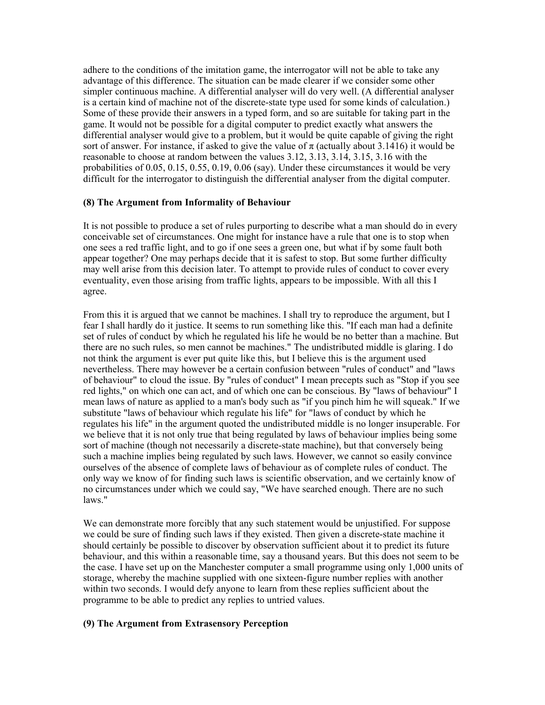adhere to the conditions of the imitation game, the interrogator will not be able to take any advantage of this difference. The situation can be made clearer if we consider some other simpler continuous machine. A differential analyser will do very well. (A differential analyser is a certain kind of machine not of the discrete-state type used for some kinds of calculation.) Some of these provide their answers in a typed form, and so are suitable for taking part in the game. It would not be possible for a digital computer to predict exactly what answers the differential analyser would give to a problem, but it would be quite capable of giving the right sort of answer. For instance, if asked to give the value of  $\pi$  (actually about 3.1416) it would be reasonable to choose at random between the values 3.12, 3.13, 3.14, 3.15, 3.16 with the probabilities of 0.05, 0.15, 0.55, 0.19, 0.06 (say). Under these circumstances it would be very difficult for the interrogator to distinguish the differential analyser from the digital computer.

#### **(8) The Argument from Informality of Behaviour**

It is not possible to produce a set of rules purporting to describe what a man should do in every conceivable set of circumstances. One might for instance have a rule that one is to stop when one sees a red traffic light, and to go if one sees a green one, but what if by some fault both appear together? One may perhaps decide that it is safest to stop. But some further difficulty may well arise from this decision later. To attempt to provide rules of conduct to cover every eventuality, even those arising from traffic lights, appears to be impossible. With all this I agree.

From this it is argued that we cannot be machines. I shall try to reproduce the argument, but I fear I shall hardly do it justice. It seems to run something like this. "If each man had a definite set of rules of conduct by which he regulated his life he would be no better than a machine. But there are no such rules, so men cannot be machines." The undistributed middle is glaring. I do not think the argument is ever put quite like this, but I believe this is the argument used nevertheless. There may however be a certain confusion between "rules of conduct" and "laws of behaviour" to cloud the issue. By "rules of conduct" I mean precepts such as "Stop if you see red lights," on which one can act, and of which one can be conscious. By "laws of behaviour" I mean laws of nature as applied to a man's body such as "if you pinch him he will squeak." If we substitute "laws of behaviour which regulate his life" for "laws of conduct by which he regulates his life" in the argument quoted the undistributed middle is no longer insuperable. For we believe that it is not only true that being regulated by laws of behaviour implies being some sort of machine (though not necessarily a discrete-state machine), but that conversely being such a machine implies being regulated by such laws. However, we cannot so easily convince ourselves of the absence of complete laws of behaviour as of complete rules of conduct. The only way we know of for finding such laws is scientific observation, and we certainly know of no circumstances under which we could say, "We have searched enough. There are no such laws."

We can demonstrate more forcibly that any such statement would be unjustified. For suppose we could be sure of finding such laws if they existed. Then given a discrete-state machine it should certainly be possible to discover by observation sufficient about it to predict its future behaviour, and this within a reasonable time, say a thousand years. But this does not seem to be the case. I have set up on the Manchester computer a small programme using only 1,000 units of storage, whereby the machine supplied with one sixteen-figure number replies with another within two seconds. I would defy anyone to learn from these replies sufficient about the programme to be able to predict any replies to untried values.

#### **(9) The Argument from Extrasensory Perception**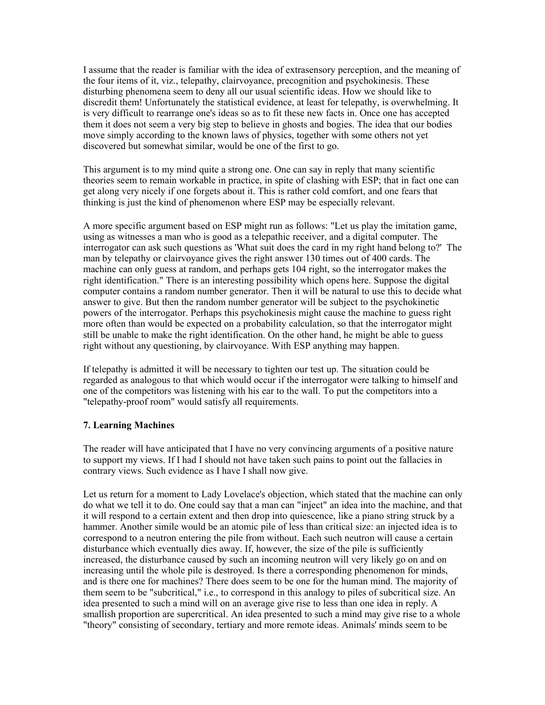I assume that the reader is familiar with the idea of extrasensory perception, and the meaning of the four items of it, viz., telepathy, clairvoyance, precognition and psychokinesis. These disturbing phenomena seem to deny all our usual scientific ideas. How we should like to discredit them! Unfortunately the statistical evidence, at least for telepathy, is overwhelming. It is very difficult to rearrange one's ideas so as to fit these new facts in. Once one has accepted them it does not seem a very big step to believe in ghosts and bogies. The idea that our bodies move simply according to the known laws of physics, together with some others not yet discovered but somewhat similar, would be one of the first to go.

This argument is to my mind quite a strong one. One can say in reply that many scientific theories seem to remain workable in practice, in spite of clashing with ESP; that in fact one can get along very nicely if one forgets about it. This is rather cold comfort, and one fears that thinking is just the kind of phenomenon where ESP may be especially relevant.

A more specific argument based on ESP might run as follows: "Let us play the imitation game, using as witnesses a man who is good as a telepathic receiver, and a digital computer. The interrogator can ask such questions as 'What suit does the card in my right hand belong to?' The man by telepathy or clairvoyance gives the right answer 130 times out of 400 cards. The machine can only guess at random, and perhaps gets 104 right, so the interrogator makes the right identification." There is an interesting possibility which opens here. Suppose the digital computer contains a random number generator. Then it will be natural to use this to decide what answer to give. But then the random number generator will be subject to the psychokinetic powers of the interrogator. Perhaps this psychokinesis might cause the machine to guess right more often than would be expected on a probability calculation, so that the interrogator might still be unable to make the right identification. On the other hand, he might be able to guess right without any questioning, by clairvoyance. With ESP anything may happen.

If telepathy is admitted it will be necessary to tighten our test up. The situation could be regarded as analogous to that which would occur if the interrogator were talking to himself and one of the competitors was listening with his ear to the wall. To put the competitors into a "telepathy-proof room" would satisfy all requirements.

### **7. Learning Machines**

The reader will have anticipated that I have no very convincing arguments of a positive nature to support my views. If I had I should not have taken such pains to point out the fallacies in contrary views. Such evidence as I have I shall now give.

Let us return for a moment to Lady Lovelace's objection, which stated that the machine can only do what we tell it to do. One could say that a man can "inject" an idea into the machine, and that it will respond to a certain extent and then drop into quiescence, like a piano string struck by a hammer. Another simile would be an atomic pile of less than critical size: an injected idea is to correspond to a neutron entering the pile from without. Each such neutron will cause a certain disturbance which eventually dies away. If, however, the size of the pile is sufficiently increased, the disturbance caused by such an incoming neutron will very likely go on and on increasing until the whole pile is destroyed. Is there a corresponding phenomenon for minds, and is there one for machines? There does seem to be one for the human mind. The majority of them seem to be "subcritical," i.e., to correspond in this analogy to piles of subcritical size. An idea presented to such a mind will on an average give rise to less than one idea in reply. A smallish proportion are supercritical. An idea presented to such a mind may give rise to a whole "theory" consisting of secondary, tertiary and more remote ideas. Animals' minds seem to be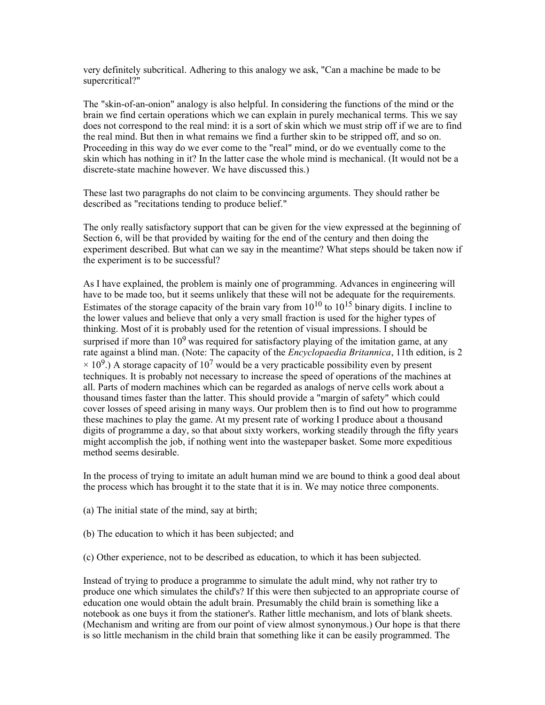very definitely subcritical. Adhering to this analogy we ask, "Can a machine be made to be supercritical?"

The "skin-of-an-onion" analogy is also helpful. In considering the functions of the mind or the brain we find certain operations which we can explain in purely mechanical terms. This we say does not correspond to the real mind: it is a sort of skin which we must strip off if we are to find the real mind. But then in what remains we find a further skin to be stripped off, and so on. Proceeding in this way do we ever come to the "real" mind, or do we eventually come to the skin which has nothing in it? In the latter case the whole mind is mechanical. (It would not be a discrete-state machine however. We have discussed this.)

These last two paragraphs do not claim to be convincing arguments. They should rather be described as "recitations tending to produce belief."

The only really satisfactory support that can be given for the view expressed at the beginning of Section 6, will be that provided by waiting for the end of the century and then doing the experiment described. But what can we say in the meantime? What steps should be taken now if the experiment is to be successful?

As I have explained, the problem is mainly one of programming. Advances in engineering will have to be made too, but it seems unlikely that these will not be adequate for the requirements. Estimates of the storage capacity of the brain vary from  $10^{10}$  to  $10^{15}$  binary digits. I incline to the lower values and believe that only a very small fraction is used for the higher types of thinking. Most of it is probably used for the retention of visual impressions. I should be surprised if more than  $10^9$  was required for satisfactory playing of the imitation game, at any rate against a blind man. (Note: The capacity of the *Encyclopaedia Britannica*, 11th edition, is 2  $\times$  10<sup>9</sup>.) A storage capacity of 10<sup>7</sup> would be a very practicable possibility even by present techniques. It is probably not necessary to increase the speed of operations of the machines at all. Parts of modern machines which can be regarded as analogs of nerve cells work about a thousand times faster than the latter. This should provide a "margin of safety" which could cover losses of speed arising in many ways. Our problem then is to find out how to programme these machines to play the game. At my present rate of working I produce about a thousand digits of programme a day, so that about sixty workers, working steadily through the fifty years might accomplish the job, if nothing went into the wastepaper basket. Some more expeditious method seems desirable.

In the process of trying to imitate an adult human mind we are bound to think a good deal about the process which has brought it to the state that it is in. We may notice three components.

- (a) The initial state of the mind, say at birth;
- (b) The education to which it has been subjected; and
- (c) Other experience, not to be described as education, to which it has been subjected.

Instead of trying to produce a programme to simulate the adult mind, why not rather try to produce one which simulates the child's? If this were then subjected to an appropriate course of education one would obtain the adult brain. Presumably the child brain is something like a notebook as one buys it from the stationer's. Rather little mechanism, and lots of blank sheets. (Mechanism and writing are from our point of view almost synonymous.) Our hope is that there is so little mechanism in the child brain that something like it can be easily programmed. The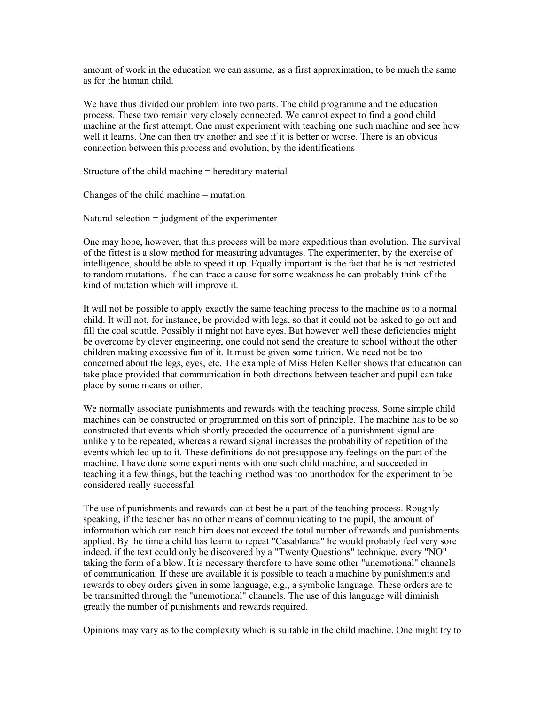amount of work in the education we can assume, as a first approximation, to be much the same as for the human child.

We have thus divided our problem into two parts. The child programme and the education process. These two remain very closely connected. We cannot expect to find a good child machine at the first attempt. One must experiment with teaching one such machine and see how well it learns. One can then try another and see if it is better or worse. There is an obvious connection between this process and evolution, by the identifications

Structure of the child machine = hereditary material

Changes of the child machine = mutation

Natural selection  $=$  judgment of the experimenter

One may hope, however, that this process will be more expeditious than evolution. The survival of the fittest is a slow method for measuring advantages. The experimenter, by the exercise of intelligence, should be able to speed it up. Equally important is the fact that he is not restricted to random mutations. If he can trace a cause for some weakness he can probably think of the kind of mutation which will improve it.

It will not be possible to apply exactly the same teaching process to the machine as to a normal child. It will not, for instance, be provided with legs, so that it could not be asked to go out and fill the coal scuttle. Possibly it might not have eyes. But however well these deficiencies might be overcome by clever engineering, one could not send the creature to school without the other children making excessive fun of it. It must be given some tuition. We need not be too concerned about the legs, eyes, etc. The example of Miss Helen Keller shows that education can take place provided that communication in both directions between teacher and pupil can take place by some means or other.

We normally associate punishments and rewards with the teaching process. Some simple child machines can be constructed or programmed on this sort of principle. The machine has to be so constructed that events which shortly preceded the occurrence of a punishment signal are unlikely to be repeated, whereas a reward signal increases the probability of repetition of the events which led up to it. These definitions do not presuppose any feelings on the part of the machine. I have done some experiments with one such child machine, and succeeded in teaching it a few things, but the teaching method was too unorthodox for the experiment to be considered really successful.

The use of punishments and rewards can at best be a part of the teaching process. Roughly speaking, if the teacher has no other means of communicating to the pupil, the amount of information which can reach him does not exceed the total number of rewards and punishments applied. By the time a child has learnt to repeat "Casablanca" he would probably feel very sore indeed, if the text could only be discovered by a "Twenty Questions" technique, every "NO" taking the form of a blow. It is necessary therefore to have some other "unemotional" channels of communication. If these are available it is possible to teach a machine by punishments and rewards to obey orders given in some language, e.g., a symbolic language. These orders are to be transmitted through the "unemotional" channels. The use of this language will diminish greatly the number of punishments and rewards required.

Opinions may vary as to the complexity which is suitable in the child machine. One might try to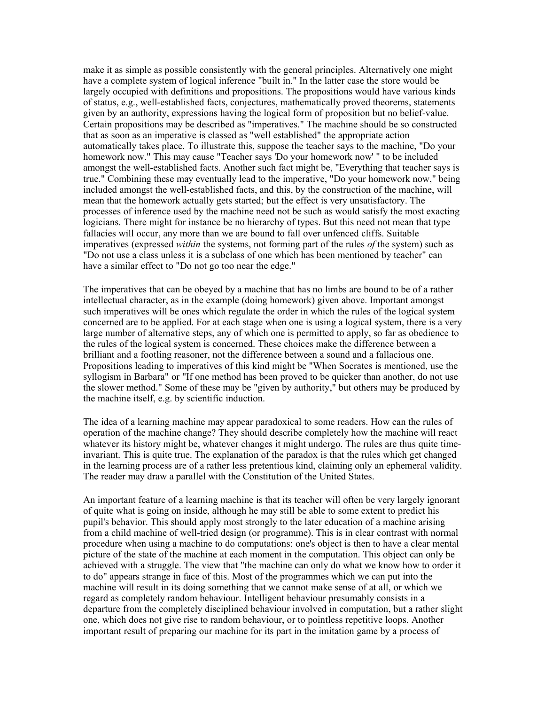make it as simple as possible consistently with the general principles. Alternatively one might have a complete system of logical inference "built in." In the latter case the store would be largely occupied with definitions and propositions. The propositions would have various kinds of status, e.g., well-established facts, conjectures, mathematically proved theorems, statements given by an authority, expressions having the logical form of proposition but no belief-value. Certain propositions may be described as "imperatives." The machine should be so constructed that as soon as an imperative is classed as "well established" the appropriate action automatically takes place. To illustrate this, suppose the teacher says to the machine, "Do your homework now." This may cause "Teacher says 'Do your homework now' " to be included amongst the well-established facts. Another such fact might be, "Everything that teacher says is true." Combining these may eventually lead to the imperative, "Do your homework now," being included amongst the well-established facts, and this, by the construction of the machine, will mean that the homework actually gets started; but the effect is very unsatisfactory. The processes of inference used by the machine need not be such as would satisfy the most exacting logicians. There might for instance be no hierarchy of types. But this need not mean that type fallacies will occur, any more than we are bound to fall over unfenced cliffs. Suitable imperatives (expressed *within* the systems, not forming part of the rules *of* the system) such as "Do not use a class unless it is a subclass of one which has been mentioned by teacher" can have a similar effect to "Do not go too near the edge."

The imperatives that can be obeyed by a machine that has no limbs are bound to be of a rather intellectual character, as in the example (doing homework) given above. Important amongst such imperatives will be ones which regulate the order in which the rules of the logical system concerned are to be applied. For at each stage when one is using a logical system, there is a very large number of alternative steps, any of which one is permitted to apply, so far as obedience to the rules of the logical system is concerned. These choices make the difference between a brilliant and a footling reasoner, not the difference between a sound and a fallacious one. Propositions leading to imperatives of this kind might be "When Socrates is mentioned, use the syllogism in Barbara" or "If one method has been proved to be quicker than another, do not use the slower method." Some of these may be "given by authority," but others may be produced by the machine itself, e.g. by scientific induction.

The idea of a learning machine may appear paradoxical to some readers. How can the rules of operation of the machine change? They should describe completely how the machine will react whatever its history might be, whatever changes it might undergo. The rules are thus quite timeinvariant. This is quite true. The explanation of the paradox is that the rules which get changed in the learning process are of a rather less pretentious kind, claiming only an ephemeral validity. The reader may draw a parallel with the Constitution of the United States.

An important feature of a learning machine is that its teacher will often be very largely ignorant of quite what is going on inside, although he may still be able to some extent to predict his pupil's behavior. This should apply most strongly to the later education of a machine arising from a child machine of well-tried design (or programme). This is in clear contrast with normal procedure when using a machine to do computations: one's object is then to have a clear mental picture of the state of the machine at each moment in the computation. This object can only be achieved with a struggle. The view that "the machine can only do what we know how to order it to do" appears strange in face of this. Most of the programmes which we can put into the machine will result in its doing something that we cannot make sense of at all, or which we regard as completely random behaviour. Intelligent behaviour presumably consists in a departure from the completely disciplined behaviour involved in computation, but a rather slight one, which does not give rise to random behaviour, or to pointless repetitive loops. Another important result of preparing our machine for its part in the imitation game by a process of